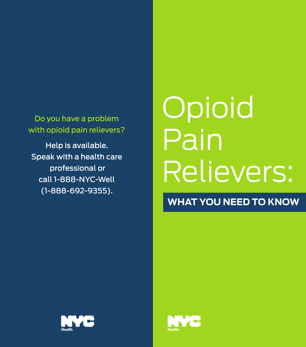Do you have a problem with opioid pain relievers?

Help is available. Speak with a health care professional or call 1-888-NYC-Well (1-888-692-9355).

# **Opioid** Pain Relievers:

**WHAT YOU NEED TO KNOW**